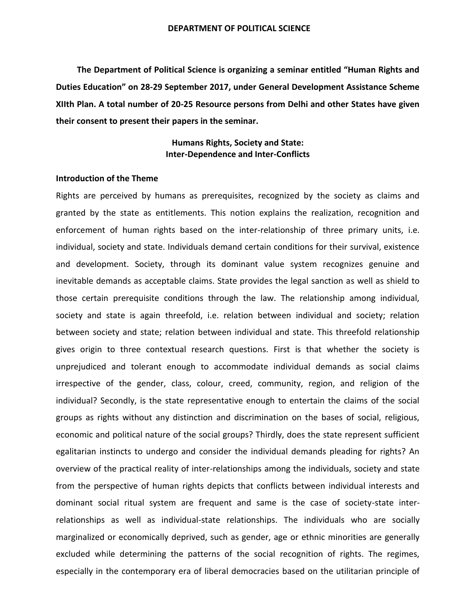**The Department of Political Science is organizing a seminar entitled "Human Rights and Duties Education" on 28-29 September 2017, under General Development Assistance Scheme XIIth Plan. A total number of 20-25 Resource persons from Delhi and other States have given their consent to present their papers in the seminar.**

> **Humans Rights, Society and State: Inter-Dependence and Inter-Conflicts**

## **Introduction of the Theme**

Rights are perceived by humans as prerequisites, recognized by the society as claims and granted by the state as entitlements. This notion explains the realization, recognition and enforcement of human rights based on the inter-relationship of three primary units, i.e. individual, society and state. Individuals demand certain conditions for their survival, existence and development. Society, through its dominant value system recognizes genuine and inevitable demands as acceptable claims. State provides the legal sanction as well as shield to those certain prerequisite conditions through the law. The relationship among individual, society and state is again threefold, i.e. relation between individual and society; relation between society and state; relation between individual and state. This threefold relationship gives origin to three contextual research questions. First is that whether the society is unprejudiced and tolerant enough to accommodate individual demands as social claims irrespective of the gender, class, colour, creed, community, region, and religion of the individual? Secondly, is the state representative enough to entertain the claims of the social groups as rights without any distinction and discrimination on the bases of social, religious, economic and political nature of the social groups? Thirdly, does the state represent sufficient egalitarian instincts to undergo and consider the individual demands pleading for rights? An overview of the practical reality of inter-relationships among the individuals, society and state from the perspective of human rights depicts that conflicts between individual interests and dominant social ritual system are frequent and same is the case of society-state interrelationships as well as individual-state relationships. The individuals who are socially marginalized or economically deprived, such as gender, age or ethnic minorities are generally excluded while determining the patterns of the social recognition of rights. The regimes, especially in the contemporary era of liberal democracies based on the utilitarian principle of